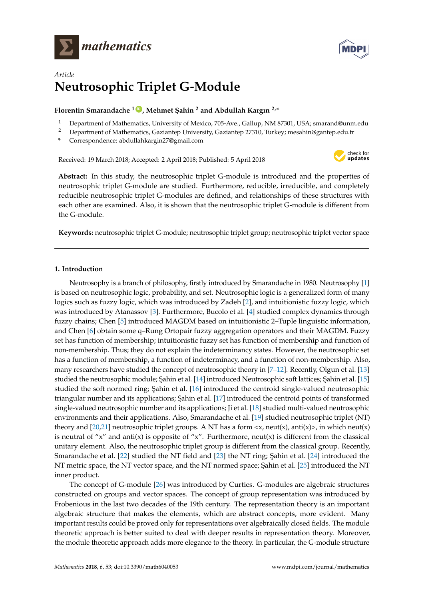



# *Article* **Neutrosophic Triplet G-Module**

# **Florentin Smarandache <sup>1</sup> [ID](https://orcid.org/0000-0002-5560-5926) , Mehmet ¸Sahin <sup>2</sup> and Abdullah Kargın 2,\***

- <sup>1</sup> Department of Mathematics, University of Mexico, 705-Ave., Gallup, NM 87301, USA; smarand@unm.edu
- <sup>2</sup> Department of Mathematics, Gaziantep University, Gaziantep 27310, Turkey; mesahin@gantep.edu.tr
- **\*** Correspondence: abdullahkargin27@gmail.com

Received: 19 March 2018; Accepted: 2 April 2018; Published: 5 April 2018



**Abstract:** In this study, the neutrosophic triplet G-module is introduced and the properties of neutrosophic triplet G-module are studied. Furthermore, reducible, irreducible, and completely reducible neutrosophic triplet G-modules are defined, and relationships of these structures with each other are examined. Also, it is shown that the neutrosophic triplet G-module is different from the G-module.

**Keywords:** neutrosophic triplet G-module; neutrosophic triplet group; neutrosophic triplet vector space

# **1. Introduction**

Neutrosophy is a branch of philosophy, firstly introduced by Smarandache in 1980. Neutrosophy [\[1\]](#page-7-0) is based on neutrosophic logic, probability, and set. Neutrosophic logic is a generalized form of many logics such as fuzzy logic, which was introduced by Zadeh [\[2\]](#page-7-1), and intuitionistic fuzzy logic, which was introduced by Atanassov [\[3\]](#page-7-2). Furthermore, Bucolo et al. [\[4\]](#page-7-3) studied complex dynamics through fuzzy chains; Chen [\[5\]](#page-7-4) introduced MAGDM based on intuitionistic 2–Tuple linguistic information, and Chen [\[6\]](#page-7-5) obtain some q–Rung Ortopair fuzzy aggregation operators and their MAGDM. Fuzzy set has function of membership; intuitionistic fuzzy set has function of membership and function of non-membership. Thus; they do not explain the indeterminancy states. However, the neutrosophic set has a function of membership, a function of indeterminacy, and a function of non-membership. Also, many researchers have studied the concept of neutrosophic theory in [\[7–](#page-7-6)[12\]](#page-7-7). Recently, Olgun et al. [\[13\]](#page-7-8) studied the neutrosophic module; Sahin et al. [\[14\]](#page-7-9) introduced Neutrosophic soft lattices; Sahin et al. [\[15\]](#page-7-10) studied the soft normed ring; Sahin et al. [\[16\]](#page-7-11) introduced the centroid single-valued neutrosophic triangular number and its applications; *Şahin et al.* [\[17\]](#page-7-12) introduced the centroid points of transformed single-valued neutrosophic number and its applications; Ji et al. [\[18\]](#page-7-13) studied multi-valued neutrosophic environments and their applications. Also, Smarandache et al. [\[19\]](#page-7-14) studied neutrosophic triplet (NT) theory and  $[20,21]$  $[20,21]$  neutrosophic triplet groups. A NT has a form  $\langle x \rangle$ , neut $(x)$ , anti $(x)$ , in which neut $(x)$ is neutral of "x" and anti(x) is opposite of "x". Furthermore, neut(x) is different from the classical unitary element. Also, the neutrosophic triplet group is different from the classical group. Recently, Smarandache et al. [\[22\]](#page-7-17) studied the NT field and [\[23\]](#page-7-18) the NT ring; Şahin et al. [\[24\]](#page-7-19) introduced the NT metric space, the NT vector space, and the NT normed space; Şahin et al. [\[25\]](#page-7-20) introduced the NT inner product.

The concept of G-module [\[26\]](#page-8-0) was introduced by Curties. G-modules are algebraic structures constructed on groups and vector spaces. The concept of group representation was introduced by Frobenious in the last two decades of the 19th century. The representation theory is an important algebraic structure that makes the elements, which are abstract concepts, more evident. Many important results could be proved only for representations over algebraically closed fields. The module theoretic approach is better suited to deal with deeper results in representation theory. Moreover, the module theoretic approach adds more elegance to the theory. In particular, the G-module structure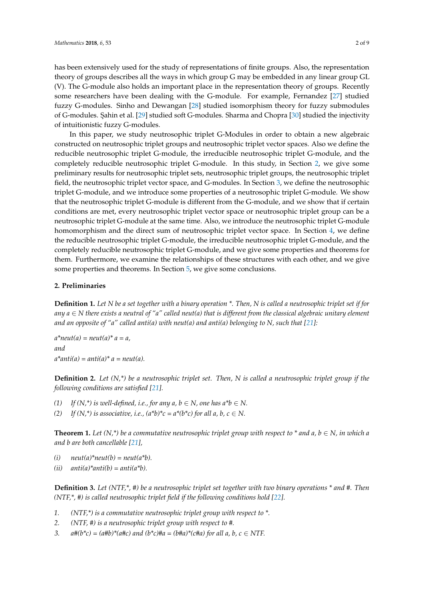has been extensively used for the study of representations of finite groups. Also, the representation theory of groups describes all the ways in which group G may be embedded in any linear group GL (V). The G-module also holds an important place in the representation theory of groups. Recently some researchers have been dealing with the G-module. For example, Fernandez [\[27\]](#page-8-1) studied fuzzy G-modules. Sinho and Dewangan [\[28\]](#page-8-2) studied isomorphism theory for fuzzy submodules of G-modules. Sahin et al. [\[29\]](#page-8-3) studied soft G-modules. Sharma and Chopra [\[30\]](#page-8-4) studied the injectivity of intuitionistic fuzzy G-modules.

In this paper, we study neutrosophic triplet G-Modules in order to obtain a new algebraic constructed on neutrosophic triplet groups and neutrosophic triplet vector spaces. Also we define the reducible neutrosophic triplet G-module, the irreducible neutrosophic triplet G-module, and the completely reducible neutrosophic triplet G-module. In this study, in Section [2,](#page-1-0) we give some preliminary results for neutrosophic triplet sets, neutrosophic triplet groups, the neutrosophic triplet field, the neutrosophic triplet vector space, and G-modules. In Section [3,](#page-3-0) we define the neutrosophic triplet G-module, and we introduce some properties of a neutrosophic triplet G-module. We show that the neutrosophic triplet G-module is different from the G-module, and we show that if certain conditions are met, every neutrosophic triplet vector space or neutrosophic triplet group can be a neutrosophic triplet G-module at the same time. Also, we introduce the neutrosophic triplet G-module homomorphism and the direct sum of neutrosophic triplet vector space. In Section [4,](#page-4-0) we define the reducible neutrosophic triplet G-module, the irreducible neutrosophic triplet G-module, and the completely reducible neutrosophic triplet G-module, and we give some properties and theorems for them. Furthermore, we examine the relationships of these structures with each other, and we give some properties and theorems. In Section [5,](#page-6-0) we give some conclusions.

#### <span id="page-1-0"></span>**2. Preliminaries**

**Definition 1.** *Let N be a set together with a binary operation \*. Then, N is called a neutrosophic triplet set if for any a* ∈ *N there exists a neutral of "a" called neut(a) that is different from the classical algebraic unitary element* and an opposite of "a" called anti(a) with neut(a) and anti(a) belonging to N, such that  $[21]$ :

 $a^*$ *neut*(*a*) = *neut*(*a*)<sup>\*</sup>  $a = a$ , *and*  $a^*$ *anti*(*a*) = *anti*(*a*)<sup>\*</sup> *a* = *neut*(*a*).

**Definition 2.** *Let (N,\*) be a neutrosophic triplet set. Then, N is called a neutrosophic triplet group if the following conditions are satisfied [\[21\]](#page-7-16).*

- *(1) If*  $(N, * )$  *is well-defined, i.e., for any a, b*  $\in$  *N, one has a\*b*  $\in$  *N*.
- (2) *If*  $(N,*)$  *is associative, i.e.,*  $(a^*b)^*c = a^*(b^*c)$  for all a, b,  $c \in N$ .

**Theorem 1.** *Let*  $(N,*)$  *be a commutative neutrosophic triplet group with respect to \* and a, b*  $\in$  *N, in which a and b are both cancellable [\[21\]](#page-7-16),*

 $(i)$  *neut*(a)\**neut*(b) = *neut*(a\*b).

 $(ii)$  *anti* $(a)*anti(b) = anti(a*b)$ .

**Definition 3.** *Let (NTF,\*, #) be a neutrosophic triplet set together with two binary operations \* and #. Then (NTF,\*, #) is called neutrosophic triplet field if the following conditions hold [\[22\]](#page-7-17).*

- *1. (NTF,\*) is a commutative neutrosophic triplet group with respect to \*.*
- *2. (NTF, #) is a neutrosophic triplet group with respect to #.*
- *3.*  $a\#(b^*c) = (a\#b)^*(a\#c)$  and  $(b^*c)\#a = (b\#a)^*(c\#a)$  for all a, b,  $c \in NTF$ .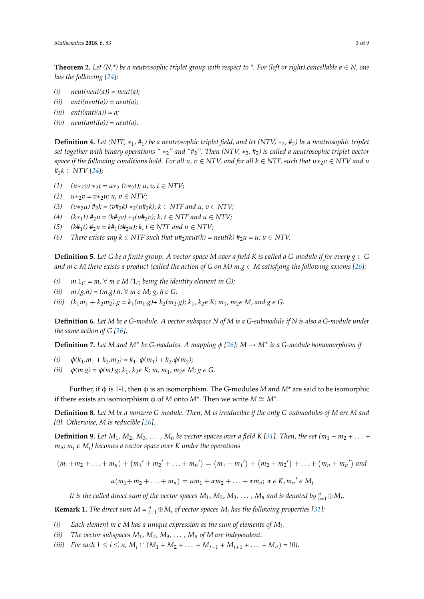**Theorem 2.** Let  $(N, * )$  be a neutrosophic triplet group with respect to  $*$ . For (left or right) cancellable  $a \in N$ , one *has the following [\[24\]](#page-7-19):*

- $(i)$   $neut(new(a)) = neut(a);$
- $(iii)$   $anti(neut(a)) = neut(a);$
- $(iii)$   $anti(anti(a)) = a;$
- $(iv)$   $neut(anti(a)) = neut(a).$

**Definition 4.** *Let (NTF,* ∗1*,* #1*) be a neutrosophic triplet field, and let (NTV,* ∗2*,* #2*) be a neutrosophic triplet set together with binary operations "* ∗2*" and "*#2*". Then (NTV,* ∗2*,* #2*) is called a neutrosophic triplet vector space if the following conditions hold. For all u, v* ∈ *NTV, and for all k* ∈ *NTF, such that u*∗2*v* ∈ *NTV and u*  $#_2 k ∈ NTV [24]$  $#_2 k ∈ NTV [24]$ ;

- $(1)$   $(u *_{2} v) *_{2} t = u *_{2} (v *_{2} t); u, v, t \in NTV;$
- *(2)*  $u *_{2} v = v *_{2} u$ ;  $u, v ∈ NTV$ ;
- *(3)*  $(v *_{2} u) \#_{2} k = (v \#_{2} k) *_{2} (u \#_{2} k); k ∈ NTF and u, v ∈ NTV;$
- *(4)*  $(k*_1t)$   $#_2u = (k#_2v) *_1(u#_2v); k, t ∈ NTF and u ∈ NTV;$
- *(5)*  $(k#₁t) #₂u = k#₁(t#₂u); k, t ∈ NTF and u ∈ NTV;$
- *(6) There exists any*  $k \in \text{NTF}$  *such that u*#<sub>2</sub>*neut(k)* = *neut(k)*  $\#_2 u = u$ *;*  $u \in \text{NTV}$ .

**Definition 5.** Let G be a finite group. A vector space M over a field K is called a G-module if for every  $g \in G$ *and m*  $\epsilon$  *M* there exists a product (called the action of G on M) m.g  $\epsilon$  *M* satisfying the following axioms [\[26\]](#page-8-0):

- *(i)*  $m.1<sub>G</sub> = m, \forall m \in M (1<sub>G</sub> being the identity element in G);$
- *(ii)*  $m.(g.h) = (m.g).h, \forall m \in M; g, h \in G;$
- *(iii)*  $(k_1m_1 + k_2m_2) \cdot g = k_1(m_1 \cdot g) + k_2(m_2 \cdot g)$ ;  $k_1, k_2 \in K$ ;  $m_1, m_2 \in M$ , and  $g \in G$ .

**Definition 6.** *Let M be a G-module. A vector subspace N of M is a G-submodule if N is also a G-module under the same action of G [\[26\]](#page-8-0).*

**Definition 7.** *Let M and M*<sup>∗</sup> *be G-modules. A mapping φ [\[26\]](#page-8-0): M* → *M*<sup>∗</sup> *is a G-module homomorphism if*

- (*i*)  $\phi(k_1.m_1 + k_2.m_2) = k_1 \cdot \phi(m_1) + k_2 \cdot \phi(m_2);$
- *(ii)*  $\phi(m,g) = \phi(m).g; k_1, k_2 \in K; m, m_1, m_2 \in M; g \in G$ .

Further, if φ is 1-1, then φ is an isomorphism. The G-modules *M* and *M*\* are said to be isomorphic if there exists an isomorphism  $\phi$  of *M* onto *M*<sup>\*</sup>. Then we write  $M \cong M^*$ .

**Definition 8.** *Let M be a nonzero G-module. Then, M is irreducible if the only G-submodules of M are M and {0}. Otherwise, M is reducible [\[26\]](#page-8-0).*

**Definition 9.** Let  $M_1$ ,  $M_2$ ,  $M_3$ , ...,  $M_n$  be vector spaces over a field K [\[31\]](#page-8-5). Then, the set  $\{m_1 + m_2 + \ldots + m_n\}$ *mn; m<sup>i</sup> e M<sup>i</sup> } becomes a vector space over K under the operations*

 $(m_1+m_2+\ldots+m_n)+(m_1'+m_2'+\ldots+m_n')=(m_1+m_1')+(m_2+m_2')+ \ldots+(m_n+m_n')$  and  $\alpha(m_1 + m_2 + \ldots + m_n) = \alpha m_1 + \alpha m_2 + \ldots + \alpha m_n; \ \alpha \in K, m_n' \in M_n$ 

*It is the called direct sum of the vector spaces*  $M_1$ *,*  $M_2$ *,*  $M_3$ *,*  $\dots$  *,*  $M_n$  *and is denoted by*  $_{i=1}^n \oplus M_i.$ 

**Remark 1.** *The direct sum*  $M = \sum_{i=1}^{n} \bigoplus M_i$  *of vector spaces*  $M_i$  *has the following properties* [\[31\]](#page-8-5)*:* 

- *(i) Each element m e M has a unique expression as the sum of elements of M<sup>i</sup> .*
- *(ii) The vector subspaces*  $M_1$ *,*  $M_2$ *,*  $M_3$ *, . . . ,*  $M_n$  *of M are independent.*

*(iii) For each*  $1 \le i \le n$ *,*  $M_i \cap (M_1 + M_2 + \ldots + M_{i-1} + M_{i+1} + \ldots + M_n) = \{0\}$ .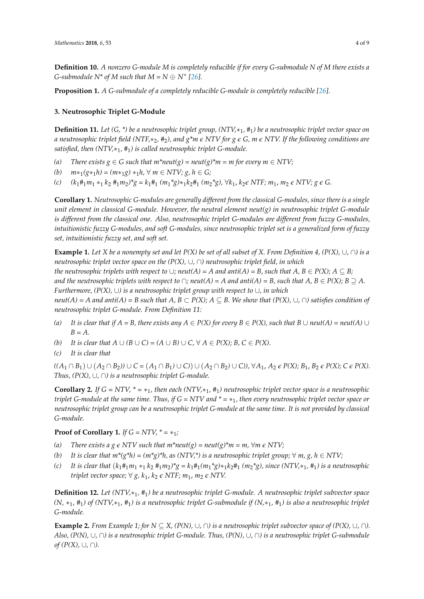**Definition 10.** *A nonzero G-module M is completely reducible if for every G-submodule N of M there exists a G*-submodule  $N^*$  of M such that  $M = N \oplus N^*$  [\[26\]](#page-8-0).

**Proposition 1.** *A G-submodule of a completely reducible G-module is completely reducible [\[26\]](#page-8-0).*

# <span id="page-3-0"></span>**3. Neutrosophic Triplet G-Module**

**Definition 11.** *Let (G, \*) be a neutrosophic triplet group, (NTV,*∗1*,* #1*) be a neutrosophic triplet vector space on a neutrosophic triplet field (NTF,*∗2*,* #2*), and g\*m e NTV for g e G, m e NTV. If the following conditions are satisfied, then (NTV,*∗1*,* #1*) is called neutrosophic triplet G-module.*

- *(a) There exists g*  $\in$  *G such that m\*neut(g)* = *neut(g)\*m* = *m for every m*  $\in$  *NTV;*
- *(b)*  $m *_{1}(g *_{1} h) = (m *_{1} g) *_{1} h$ , ∀  $m \in NTV$ ;  $g, h \in G$ ;
- (c)  $(k_1 \#_1 m_1 *_1 k_2 \#_1 m_2) *_g = k_1 \#_1 (m_1 *_g)_* _1 k_2 \#_1 (m_2 *_g), \forall k_1, k_2 \in NTF; m_1, m_2 \in NTV; g \in G.$

**Corollary 1.** *Neutrosophic G-modules are generally different from the classical G-modules, since there is a single unit element in classical G-module. However, the neutral element neut(g) in neutrosophic triplet G-module is different from the classical one. Also, neutrosophic triplet G-modules are different from fuzzy G-modules, intuitionistic fuzzy G-modules, and soft G-modules, since neutrosophic triplet set is a generalized form of fuzzy set, intuitionistic fuzzy set, and soft set.*

**Example 1.** *Let X be a nonempty set and let P(X) be set of all subset of X. From Definition 4, (P(X),* ∪*,* ∩*) is a neutrosophic triplet vector space on the (P(X),* ∪*,* ∩*) neutrosophic triplet field, in which*

*the neutrosophic triplets with respect to*  $\cup$ *; neut(A) = A and anti(A) = B, such that A, B*  $\in$  *P(X); A*  $\subseteq$  *B*; *and the neutrosophic triplets with respect to*  $\cap$ ; *neut(A) = A and anti(A) = B, such that A, B*  $\in$  *P(X); B*  $\supseteq$  *A. Furthermore, (P(X),* ∪*) is a neutrosophic triplet group with respect to* ∪*, in which neut*(*A*) = *A* and anti(*A*) = *B* such that  $A, B \subset P(X)$ ;  $A \subseteq B$ . We show that  $(P(X), \cup, \cap)$  satisfies condition of *neutrosophic triplet G-module. From Definition 11:*

- *(a)* It is clear that if  $A = B$ , there exists any  $A \in P(X)$  for every  $B \in P(X)$ , such that  $B \cup \text{neut}(A) = \text{neut}(A) \cup$ *B = A.*
- *(b) It is clear that*  $A \cup (B \cup C) = (A \cup B) \cup C$ ,  $\forall A \in P(X)$ ;  $B, C \in P(X)$ .
- *(c) It is clear that*

 $((A_1 \cap B_1) \cup (A_2 \cap B_2)) \cup C = (A_1 \cap B_1) \cup C) \cup (A_2 \cap B_2) \cup C)$ ,  $\forall A_1, A_2 \in P(X); B_1, B_2 \in P(X); C \in P(X)$ . *Thus,*  $(P(X), \cup, \cap)$  *is a neutrosophic triplet G-module.* 

**Corollary 2.** *If*  $G = NTV$ ,  $* = *_1$ , then each  $(NTV, *_1, #_1)$  neutrosophic triplet vector space is a neutrosophic *triplet G-module at the same time. Thus, if G = NTV and \* =* ∗1*, then every neutrosophic triplet vector space or neutrosophic triplet group can be a neutrosophic triplet G-module at the same time. It is not provided by classical G-module.*

# **Proof of Corollary 1.** *If*  $G = NTV$ ,  $* = *_1;$

- *(a) There exists a g*  $\epsilon$  *NTV such that m\*neut(g) = neut(g)\*m = m,*  $\forall m \epsilon$  *NTV;*
- *(b)* It is clear that  $m^*(g^*h) = (m^*g)^*h$ , as  $(NTV^*)$  is a neutrosophic triplet group;  $\forall m, g, h \in NTV$ ;
- *(c) It is clear that* (*k*1#1*m*<sup>1</sup> ∗<sup>1</sup> *k*<sup>2</sup> #1*m*2*)\*g = k*1#1*(m*1*\*g)*∗1*k*2#<sup>1</sup> *(m*2*\*g), since (NTV,*∗1*,* #1*) is a neutrosophic triplet vector space;*  $\forall g, k_1, k_2 \in \text{NTF}$ ;  $m_1, m_2 \in \text{NTV}$ .

**Definition 12.** *Let (NTV,*∗1*,* #1*) be a neutrosophic triplet G-module. A neutrosophic triplet subvector space (N,* ∗1*,* #1*) of (NTV,*∗1*,* #1*) is a neutrosophic triplet G-submodule if (N,*∗1*,* #1*) is also a neutrosophic triplet G-module.*

**Example 2.** *From Example 1; for*  $N \subseteq X$ ,  $(P(N), \cup, \cap)$  *is a neutrosophic triplet subvector space of*  $(P(X), \cup, \cap)$ . *Also, (P(N),* ∪*,* ∩*) is a neutrosophic triplet G-module. Thus, (P(N),* ∪*,* ∩*) is a neutrosophic triplet G-submodule of* ( $P(X)$ , ∪, ∩).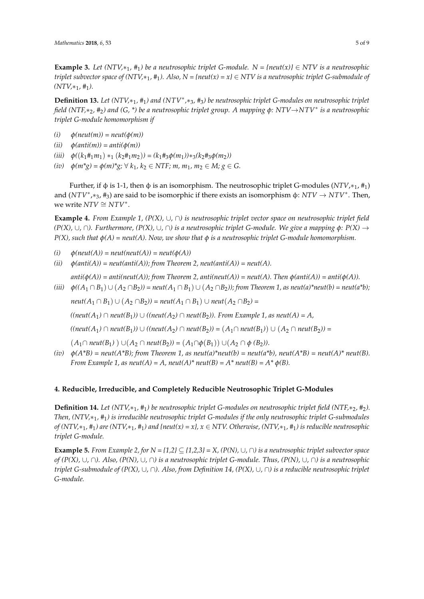**Example 3.** *Let*  $(NTV, *1, *1)$  *be a neutrosophic triplet G-module.*  $N = \{neut(x)\} \in NTV$  *is a neutrosophic triplet subvector space of (NTV,* $*_1$ ,  $*_1$ ). Also, N = {neut(x) = x}  $\in$  NTV is a neutrosophic triplet G-submodule of  $(NTV, *_1, #_1)$ .

**Definition 13.** Let (NTV,\*<sub>1</sub>, #<sub>1</sub>) and (NTV<sup>\*</sup>,\*<sub>3</sub>, #<sub>3</sub>) be neutrosophic triplet G-modules on neutrosophic triplet *field (NTF,*∗2*,* #2*) and (G, \*) be a neutrosophic triplet group. A mapping φ: NTV*→*NTV*<sup>∗</sup> *is a neutrosophic triplet G-module homomorphism if*

- $(i)$   $\phi$ (*neut*(*m*)) = *neut*( $\phi$ (*m*))
- $(iii)$   $\phi(anti(m)) = anti(\phi(m))$
- $(iii)$   $\phi((k_1 \#_1 m_1) *_1 (k_2 \#_1 m_2)) = (k_1 \#_3 \phi(m_1) *_3 (k_2 \#_3 \phi(m_2))$
- $(iv)$  *φ* $(m^*g) = \phi(m)^*g$ ;  $\forall k_1, k_2 \in NTF$ ;  $m, m_1, m_2 \in M$ ;  $g \in G$ .

Further, if φ is 1-1, then φ is an isomorphism. The neutrosophic triplet G-modules (*NTV*, $*$ <sub>1</sub>,  $#$ <sub>1</sub>) and (*NTV<sup>∗</sup>,∗<sub>3</sub>, #<sub>3</sub>)* are said to be isomorphic if there exists an isomorphism φ: *NTV* → *NTV*<sup>∗</sup>. Then, we write  $NTV \cong NTV^*$ .

**Example 4.** *From Example 1, (P(X),* ∪*,* ∩*) is neutrosophic triplet vector space on neutrosophic triplet field (P(X),* ∪*,* ∩*). Furthermore, (P(X),* ∪*,* ∩*) is a neutrosophic triplet G-module. We give a mapping φ: P(X)* → *P(X), such that φ(A) = neut(A). Now, we show that φ is a neutrosophic triplet G-module homomorphism.*

- $(i)$   $\phi$ (neut(A)) = neut(neut(A)) = neut( $\phi$ (A))
- $(iii)$   $\phi(\text{anti}(A)) = \text{neut}(\text{anti}(A))$ ; from Theorem 2, neut(anti(A)) = neut(A).

 $anti(\phi(A)) = anti(neut(A))$ ; from Theorem 2, anti(neut(A)) = neut(A). Then  $\phi(anti(A)) = anti(\phi(A))$ .  $(iii)$   $\phi$ (( $A_1 \cap B_1$ ) ∪ ( $A_2 \cap B_2$ )) = neut( $A_1 \cap B_1$ ) ∪ ( $A_2 \cap B_2$ )); from Theorem 1, as neut(a)\*neut(b) = neut(a\*b);

*neut*( $A_1$  ∩  $B_1$ ) ∪ ( $A_2$  ∩ $B_2$ )) = *neut*( $A_1$  ∩  $B_1$ ) ∪ *neut*( $A_2$  ∩ $B_2$ ) =

*((neut(A*1*)* ∩ *neut(B*1*))* ∪ *((neut(A*2*)* ∩ *neut(B*2*)). From Example 1, as neut(A) = A,*

 $((neut(A_1) ∩ neut(B_1)) ∪ ((neut(A_2) ∩ neut(B_2)) = (A_1 ∩ neut(B_1)) ∪ (A_2 ∩ neut(B_2)) =$ 

 $(A_1 ∩ \textit{neut}(B_1) ) ∪ (A_2 ∩ \textit{neut}(B_2)) = (A_1 ∩ \phi(B_1)) ∪ (A_2 ∩ \phi(B_2))$ .

*(iv)*  $\phi(A^*B)$  = neut( $A^*B$ ); from Theorem 1, as neut(a)\*neut(b) = neut(a\*b), neut( $A^*B$ ) = neut( $A$ )\* neut(B). *From Example 1, as neut(A) = A, neut(A)\* neut(B) = A\* neut(B) = A\**  $\phi$ *(B).* 

# <span id="page-4-0"></span>**4. Reducible, Irreducible, and Completely Reducible Neutrosophic Triplet G-Modules**

**Definition 14.** *Let* (NTV,∗<sub>1</sub>, #<sub>1</sub>) be neutrosophic triplet G-modules on neutrosophic triplet field (NTF,∗2, #2). *Then, (NTV,*∗1*,* #1*) is irreducible neutrosophic triplet G-modules if the only neutrosophic triplet G-submodules of (NTV,*∗1*,* #1*) are (NTV,*∗1*,* #1*) and {neut(x) = x}, x* ∈ *NTV. Otherwise, (NTV,*∗1*,* #1*) is reducible neutrosophic triplet G-module.*

**Example 5.** *From Example 2, for*  $N = \{1,2\} \subseteq \{1,2,3\} = X$ ,  $(P(N), \cup, \cap)$  is a neutrosophic triplet subvector space *of (P(X),* ∪*,* ∩*). Also, (P(N),* ∪*,* ∩*) is a neutrosophic triplet G-module. Thus, (P(N),* ∪*,* ∩*) is a neutrosophic triplet G-submodule of (P(X),* ∪*,* ∩*). Also, from Definition 14, (P(X),* ∪*,* ∩*) is a reducible neutrosophic triplet G-module.*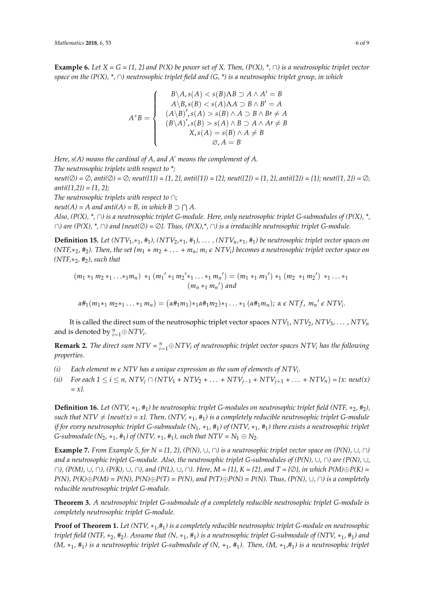**Example 6.** *Let*  $X = G = \{1, 2\}$  *and*  $P(X)$  *be power set of* X. Then,  $(P(X), \star, \cap)$  *is a neutrosophic triplet vector space on the (P(X), \*,* ∩*) neutrosophic triplet field and (G, \*) is a neutrosophic triplet group, in which*

$$
A^*B = \begin{cases} B \setminus A, s(A) < s(B) \land B \supset A \land A' = B \\ A \setminus B, s(B) < s(A) \land A \supset B \land B' = A \\ (A \setminus B)', s(A) > s(B) \land A \supset B \land B \neq A \\ (B \setminus A)', s(B) > s(A) \land B \supset A \land A \neq B \\ X, s(A) = s(B) \land A \neq B \\ \varnothing, A = B \end{cases}
$$

*Here, s(A) means the cardinal of A, and A' means the complement of A.*

*The neutrosophic triplets with respect to \*;*

*neut(*∅*) =* ∅*, anti(*∅*) =* ∅*; neut({1}) = {1, 2}, anti({1}) = {2}; neut({2}) = {1, 2}, anti({2}) = {1}; neut({1, 2}) =* ∅*, anti({1,2}) = {1, 2};*

*The neutrosophic triplets with respect to* ∩*;*

 $neut(A) = A$  and anti $(A) = B$ , in which  $B \supset \bigcap A$ .

*Also, (P(X), \*,* ∩*) is a neutrosophic triplet G-module. Here, only neutrosophic triplet G-submodules of (P(X), \*,* ∩*) are (P(X), \*,* ∩*) and {neut(*∅*) =* ∅*}. Thus, (P(X),\*,* ∩*) is a irreducible neutrosophic triplet G-module.*

**Definition 15.** Let  $(NTV_1, *_1, #_1)$ ,  $(NTV_2, *_1, #_1)$ ,  $\ldots$ ,  $(NTV_n, *_1, #_1)$  be neutrosophic triplet vector spaces on  $(NTF, *_{2}, *_{2})$ . Then, the set  $\{m_{1} + m_{2} + \ldots + m_{n}; m_{i} \in NTV_{i}\}$  becomes a neutrosophic triplet vector space on *(NTF,*∗2*,* #2*), such that*

$$
(m_1 *_1 m_2 *_1 ... *_1 m_n) *_1 (m_1' *_1 m_2' *_1 ... *_1 m_n') = (m_1 *_1 m_1') *_1 (m_2 *_1 m_2') *_1 ... *_1
$$
  

$$
(m_n *_1 m_n') and
$$

 $\alpha \#_1(m_1*_1 m_2*_1 \ldots *_1 m_n) = (\alpha \#_1 m_1) *_1 \alpha \#_1 m_2) *_1 \ldots *_1 (\alpha \#_1 m_n); \ \alpha \in N T f, m_n' \in N T V_i.$ 

It is called the direct sum of the neutrosophic triplet vector spaces  $NTV_1$ ,  $NTV_2$ ,  $NTV_3$ , . . . ,  $NTV_n$ and is denoted by  $_{i=1}^{n} \oplus NTV_i$ .

**Remark 2.** *The direct sum NTV* =  $_{i=1}^{n}$  $\oplus$  *NTV<sub>i</sub> of neutrosophic triplet vector spaces NTV<sub>i</sub> has the following properties.*

- *(i) Each element m e NTV has a unique expression as the sum of elements of NTV<sup>i</sup> .*
- (ii) For each  $1 \le i \le n$ ,  $NTV_i \cap (NTV_1 + NTV_2 + ... + NTV_{i-1} + NTV_{i+1} + ... + NTV_n) = \{x : \text{neut}(x)$ *= x}.*

**Definition 16.** *Let* (NTV, ∗<sub>1</sub>, #<sub>1</sub>) *be neutrosophic triplet* G-modules on neutrosophic triplet field (NTF, ∗<sub>2</sub>, #<sub>2</sub>), *such that NTV*  $\neq$  *{neut(x) = x}. Then, (NTV, \*<sub>1</sub>, #<sub>1</sub>) <i>is a completely reducible neutrosophic triplet G-module if for every neutrosophic triplet G-submodule (N*1*,* ∗1*,* #1*) of (NTV,* ∗1*,* #1*) there exists a neutrosophic triplet G*-submodule  $(N_2, *_1, *_1)$  of  $(NTV, *_1, *_1)$ , such that  $NTV = N_1 \oplus N_2$ .

**Example 7.** *From Example 5, for N = {1, 2}, (P(N), ∪, ∩) is a neutrosophic triplet vector space on (P(N), ∪, ∩) and a neutrosophic triplet G-module. Also, the neutrosophic triplet G-submodules of (P(N),* ∪*,* ∩*) are (P(N),* ∪*,* ∩*), (P(M),* ∪*,* ∩*), (P(K),* ∪*,* ∩*), and (P(L),* ∪*,* ∩*). Here, M = {1}, K = {2}, and T = {*∅*}, in which P(M)*⊕*P(K) =*  $P(N)$ ,  $P(K) \oplus P(M) = P(N)$ ,  $P(N) \oplus P(T) = P(N)$ , and  $P(T) \oplus P(N) = P(N)$ . Thus,  $(P(N)$ ,  $\cup$ ,  $\cap$ ) is a completely *reducible neutrosophic triplet G-module.*

**Theorem 3.** *A neutrosophic triplet G-submodule of a completely reducible neutrosophic triplet G-module is completely neutrosophic triplet G-module.*

**Proof of Theorem 1.** *Let (NTV,* ∗1*,*#1*) is a completely reducible neutrosophic triplet G-module on neutrosophic triplet field (NTF,* ∗2*,* #2*). Assume that (N,* ∗1*,* #1*) is a neutrosophic triplet G-submodule of (NTV,* ∗1*,* #1*) and (M,* ∗1*,* #1*) is a neutrosophic triplet G-submodule of (N,* ∗1*,* #1*). Then, (M,* ∗1*,*#1*) is a neutrosophic triplet*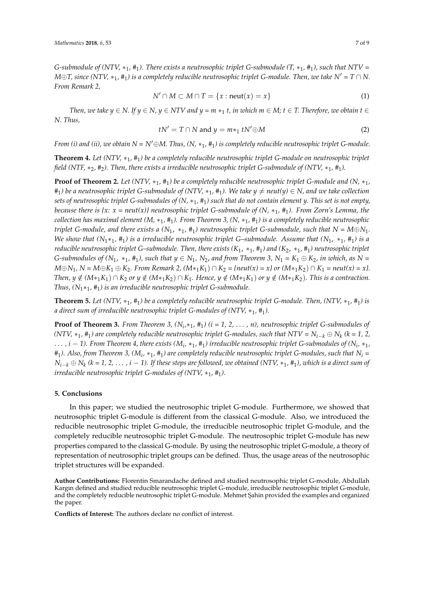*G-submodule of (NTV,*  $*_1$ ,  $*_1$ ). There exists a neutrosophic triplet G-submodule  $(T, *_1, #_1)$ , such that NTV = *M* $\oplus$ *T, since* (NTV,  $*_1$ ,  $*_1$ ) is a completely reducible neutrosophic triplet G-module. Then, we take N' = *T* ∩ *N*. *From Remark 2,*

$$
N' \cap M \subset M \cap T = \{x : \text{neut}(x) = x\}
$$
 (1)

*Then, we take y*  $\in$  *N. If y*  $\in$  *N, y*  $\in$  *NTV and y* = *m* ∗<sub>1</sub> *t, in which m*  $\in$  *M; t*  $\in$  *T. Therefore, we obtain t*  $\in$ *N. Thus,*

$$
tN' = T \cap N \text{ and } y = m*_1 tN' \oplus M \tag{2}
$$

*From (i) and (ii), we obtain*  $N = N' \oplus M$ . Thus,  $(N, *_1, *_1)$  is completely reducible neutrosophic triplet G-module.

**Theorem 4.** *Let (NTV,* ∗1*,* #1*) be a completely reducible neutrosophic triplet G-module on neutrosophic triplet field (NTF,* ∗2*,* #2*). Then, there exists a irreducible neutrosophic triplet G-submodule of (NTV,* ∗1*,* #1*).*

**Proof of Theorem 2.** Let  $(NTV, *_{1}, 4)$  be a completely reducible neutrosophic triplet G-module and  $(N, *_{1}, 4)$  $#_1$ ) be a neutrosophic triplet G-submodule of (NTV,  $*_1$ ,  $#_1$ ). We take  $y \neq \text{neut}(y) \in N$ , and we take collection *sets of neutrosophic triplet G-submodules of (N,* ∗1*,* #1*) such that do not contain element y. This set is not empty, because there is {x: x = neut(x)} neutrosophic triplet G-submodule of (N,* ∗1*,* #1*). From Zorn's Lemma, the collection has maximal element (M,* ∗1*,* #1*). From Theorem 3, (N,* ∗1*,* #1*) is a completely reducible neutrosophic triplet G-module, and there exists a*  $(N_1, *_1, #_1)$  *neutrosophic triplet G-submodule, such that*  $N = M \oplus N_1$ *. We show that (N*1∗1*,* #1*) is a irreducible neutrosophic triplet G–submodule. Assume that (N*1, ∗1*,* #1*) is a reducible neutrosophic triplet G–submodule. Then, there exists (K*1, ∗1*,* #1*) and (K*2, ∗1*,* #1*) neutrosophic triplet G-submodules of*  $(N_1, *_1, *_1)$ , such that  $y \in N_1$ ,  $N_2$ , and from Theorem 3,  $N_1 = K_1 \oplus K_2$ , in which, as  $N =$ *M*⊕*N*<sub>1</sub>*, N* = *M*⊕*K*<sub>1</sub> ⊕ *K*<sub>2</sub>*. From Remark 2,* (*M*\*<sub>1</sub>*K*<sub>1</sub>) ∩ *K*<sub>2</sub> = {neut(x) = x} or (*M*\*<sub>1</sub>*K*<sub>2</sub>) ∩ *K*<sub>1</sub> = neut(x) = x}. *Then, y*  $\notin$   $(M*_1K_1) \cap K_2$  *or y*  $\notin$   $(M*_1K_2) \cap K_1$ *. Hence, y*  $\notin$   $(M*_1K_1)$  *or y*  $\notin$   $(M*_1K_2)$ *. This is a contraction. Thus, (N*1∗1*,* #1*) is an irreducible neutrosophic triplet G-submodule.*

**Theorem 5.** Let  $(NTV, *1, *1)$  be a completely reducible neutrosophic triplet G-module. Then,  $(NTV, *1, *1)$  is *a direct sum of irreducible neutrosophic triplet G-modules of (NTV,* ∗1*,* #1*).*

**Proof of Theorem 3.** *From Theorem 3,*  $(N_i, *_1, #_1)$   $(i = 1, 2, ..., n)$ , neutrosophic triplet G-submodules of *(NTV,* ∗1*,* #1*) are completely reducible neutrosophic triplet G-modules, such that NTV = Ni*−*<sup>k</sup>* ⊕ *N<sup>k</sup> (k = 1, 2,* . . . *, i* − *1). From Theorem 4, there exists (M<sup>i</sup> ,* ∗1*,* #1*) irreducible neutrosophic triplet G-submodules of (N<sup>i</sup> ,* ∗1*,*  $\#_1$ ). Also, from Theorem 3, (M<sub>i</sub>,  $*_1$ ,  $\#_1$ ) are completely reducible neutrosophic triplet G-modules, such that  $N_i$  = *Ni*−*<sup>k</sup>* ⊕ *N<sup>k</sup> (k = 1, 2,* . . . *, i* − *1). If these steps are followed, we obtained (NTV,* ∗1*,* #1*), which is a direct sum of irreducible neutrosophic triplet G-modules of (NTV,* ∗<sub>1</sub>, #<sub>1</sub>).

### <span id="page-6-0"></span>**5. Conclusions**

In this paper; we studied the neutrosophic triplet G-module. Furthermore, we showed that neutrosophic triplet G-module is different from the classical G-module. Also, we introduced the reducible neutrosophic triplet G-module, the irreducible neutrosophic triplet G-module, and the completely reducible neutrosophic triplet G-module. The neutrosophic triplet G-module has new properties compared to the classical G-module. By using the neutrosophic triplet G-module, a theory of representation of neutrosophic triplet groups can be defined. Thus, the usage areas of the neutrosophic triplet structures will be expanded.

**Author Contributions:** Florentin Smarandache defined and studied neutrosophic triplet G-module, Abdullah Kargın defined and studied reducible neutrosophic triplet G-module, irreducible neutrosophic triplet G-module, and the completely reducible neutrosophic triplet G-module. Mehmet Şahin provided the examples and organized the paper.

**Conflicts of Interest:** The authors declare no conflict of interest.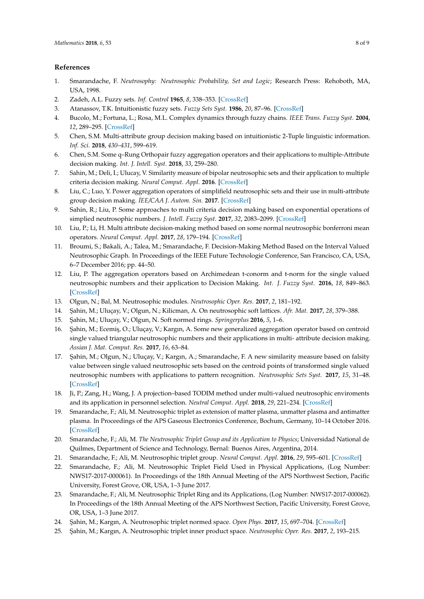# **References**

- <span id="page-7-0"></span>1. Smarandache, F. *Neutrosophy: Neutrosophic Probability, Set and Logic*; Research Press: Rehoboth, MA, USA, 1998.
- <span id="page-7-1"></span>2. Zadeh, A.L. Fuzzy sets. *Inf. Control* **1965**, *8*, 338–353. [\[CrossRef\]](http://dx.doi.org/10.1016/S0019-9958(65)90241-X)
- <span id="page-7-2"></span>3. Atanassov, T.K. Intuitionistic fuzzy sets. *Fuzzy Sets Syst.* **1986**, *20*, 87–96. [\[CrossRef\]](http://dx.doi.org/10.1016/S0165-0114(86)80034-3)
- <span id="page-7-3"></span>4. Bucolo, M.; Fortuna, L.; Rosa, M.L. Complex dynamics through fuzzy chains. *IEEE Trans. Fuzzy Syst.* **2004**, *12*, 289–295. [\[CrossRef\]](http://dx.doi.org/10.1109/TFUZZ.2004.825969)
- <span id="page-7-4"></span>5. Chen, S.M. Multi-attribute group decision making based on intuitionistic 2-Tuple linguistic information. *Inf. Sci.* **2018**, *430–431*, 599–619.
- <span id="page-7-5"></span>6. Chen, S.M. Some q–Rung Orthopair fuzzy aggregation operators and their applications to multiple-Attribute decision making. *Int. J. Intell. Syst.* **2018**, *33*, 259–280.
- <span id="page-7-6"></span>7. Sahin, M.; Deli, I.; Ulucay, V. Similarity measure of bipolar neutrosophic sets and their application to multiple criteria decision making. *Neural Comput. Appl.* **2016**. [\[CrossRef\]](http://dx.doi.org/10.1007/S00521)
- 8. Liu, C.; Luo, Y. Power aggregation operators of simplifield neutrosophic sets and their use in multi-attribute group decision making. *˙IEE/CAA J. Autom. Sin.* **2017**. [\[CrossRef\]](http://dx.doi.org/10.1109/JAS.2017.7510424)
- 9. Sahin, R.; Liu, P. Some approaches to multi criteria decision making based on exponential operations of simplied neutrosophic numbers. *J. Intell. Fuzzy Syst.* **2017**, *32*, 2083–2099. [\[CrossRef\]](http://dx.doi.org/10.3233/JIFS-161695)
- 10. Liu, P.; Li, H. Multi attribute decision-making method based on some normal neutrosophic bonferroni mean operators. *Neural Comput. Appl.* **2017**, *28*, 179–194. [\[CrossRef\]](http://dx.doi.org/10.1007/s00521-015-2048-z)
- 11. Broumi, S.; Bakali, A.; Talea, M.; Smarandache, F. Decision-Making Method Based on the Interval Valued Neutrosophic Graph. In Proceedings of the IEEE Future Technologie Conference, San Francisco, CA, USA, 6–7 December 2016; pp. 44–50.
- <span id="page-7-7"></span>12. Liu, P. The aggregation operators based on Archimedean t-conorm and t-norm for the single valued neutrosophic numbers and their application to Decision Making. *Int. J. Fuzzy Syst.* **2016**, *18*, 849–863. [\[CrossRef\]](http://dx.doi.org/10.1007/s40815-016-0195-8)
- <span id="page-7-8"></span>13. Olgun, N.; Bal, M. Neutrosophic modules. *Neutrosophic Oper. Res.* **2017**, *2*, 181–192.
- <span id="page-7-9"></span>14. ¸Sahin, M.; Uluçay, V.; Olgun, N.; Kilicman, A. On neutrosophic soft lattices. *Afr. Mat.* **2017**, *28*, 379–388.
- <span id="page-7-10"></span>15. ¸Sahin, M.; Uluçay, V.; Olgun, N. Soft normed rings. *Springerplus* **2016**, *5*, 1–6.
- <span id="page-7-11"></span>16. Şahin, M.; Ecemiş, O.; Uluçay, V.; Kargın, A. Some new generalized aggregation operator based on centroid single valued triangular neutrosophic numbers and their applications in multi- attribute decision making. *Assian J. Mat. Comput. Res.* **2017**, *16*, 63–84.
- <span id="page-7-12"></span>17. Şahin, M.; Olgun, N.; Uluçay, V.; Kargın, A.; Smarandache, F. A new similarity measure based on falsity value between single valued neutrosophic sets based on the centroid points of transformed single valued neutrosophic numbers with applications to pattern recognition. *Neutrosophic Sets Syst.* **2017**, *15*, 31–48. [\[CrossRef\]](http://dx.doi.org/10.5281/zenodo570934)
- <span id="page-7-13"></span>18. Ji, P.; Zang, H.; Wang, J. A projection–based TODIM method under multi-valued neutrosophic enviroments and its application in personnel selection. *Neutral Comput. Appl.* **2018**, *29*, 221–234. [\[CrossRef\]](http://dx.doi.org/10.1007/s00521-016-2436-z)
- <span id="page-7-14"></span>19. Smarandache, F.; Ali, M. Neutrosophic triplet as extension of matter plasma, unmatter plasma and antimatter plasma. In Proceedings of the APS Gaseous Electronics Conference, Bochum, Germany, 10–14 October 2016. [\[CrossRef\]](http://dx.doi.org/10.1103/BAPS.2016.GEC.HT6.110)
- <span id="page-7-15"></span>20. Smarandache, F.; Ali, M. *The Neutrosophic Triplet Group and its Application to Physics*; Universidad National de Quilmes, Department of Science and Technology, Bernal: Buenos Aires, Argentina, 2014.
- <span id="page-7-16"></span>21. Smarandache, F.; Ali, M. Neutrosophic triplet group. *Neural Comput. Appl.* **2016**, *29*, 595–601. [\[CrossRef\]](http://dx.doi.org/10.1007/s00521-016-2535-x)
- <span id="page-7-17"></span>22. Smarandache, F.; Ali, M. Neutrosophic Triplet Field Used in Physical Applications, (Log Number: NWS17-2017-000061). In Proceedings of the 18th Annual Meeting of the APS Northwest Section, Pacific University, Forest Grove, OR, USA, 1–3 June 2017.
- <span id="page-7-18"></span>23. Smarandache, F.; Ali, M. Neutrosophic Triplet Ring and its Applications, (Log Number: NWS17-2017-000062). In Proceedings of the 18th Annual Meeting of the APS Northwest Section, Pacific University, Forest Grove, OR, USA, 1–3 June 2017.
- <span id="page-7-19"></span>24. ¸Sahin, M.; Kargın, A. Neutrosophic triplet normed space. *Open Phys.* **2017**, *15*, 697–704. [\[CrossRef\]](http://dx.doi.org/10.1515/phys-2017-0082)
- <span id="page-7-20"></span>25. ¸Sahin, M.; Kargın, A. Neutrosophic triplet inner product space. *Neutrosophic Oper. Res.* **2017**, *2*, 193–215.